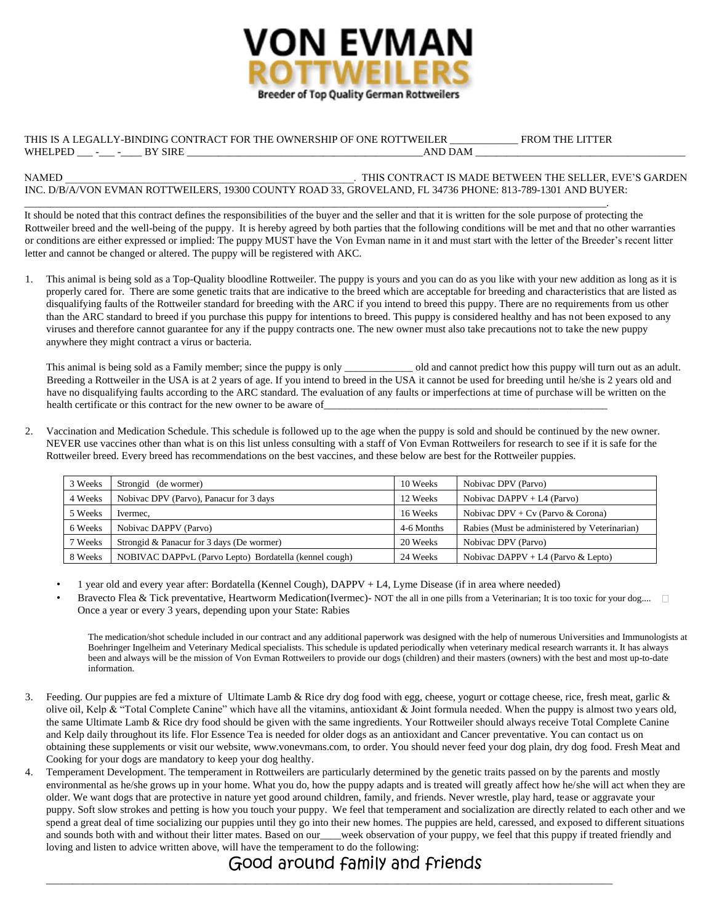

## THIS IS A LEGALLY-BINDING CONTRACT FOR THE OWNERSHIP OF ONE ROTTWEILER \_\_\_\_\_\_\_\_\_\_\_\_\_ FROM THE LITTER WHELPED \_\_\_ -\_\_\_ -\_\_\_\_ BY SIRE \_\_\_\_\_\_\_\_\_\_\_\_\_\_\_\_\_\_\_\_\_\_\_\_\_\_\_\_\_\_\_\_\_\_\_\_\_\_\_\_\_\_\_\_\_AND DAM \_\_\_\_\_\_\_\_\_\_\_\_\_\_\_\_\_\_\_\_\_\_\_\_\_\_\_\_\_\_\_\_\_\_\_\_\_\_\_\_

\_\_\_\_\_\_\_\_\_\_\_\_\_\_\_\_\_\_\_\_\_\_\_\_\_\_\_\_\_\_\_\_\_\_\_\_\_\_\_\_\_\_\_\_\_\_\_\_\_\_\_\_\_\_\_\_\_\_\_\_\_\_\_\_\_\_\_\_\_\_\_\_\_\_\_\_\_\_\_\_\_\_\_\_\_\_\_\_\_\_\_\_\_\_\_\_\_\_\_\_\_\_\_\_\_\_\_\_\_\_\_.

## NAMED \_\_\_\_\_\_\_\_\_\_\_\_\_\_\_\_\_\_\_\_\_\_\_\_\_\_\_\_\_\_\_\_\_\_\_\_\_\_\_\_\_\_\_\_\_\_\_\_\_\_\_\_\_\_\_. THIS CONTRACT IS MADE BETWEEN THE SELLER, EVE'S GARDEN INC. D/B/A/VON EVMAN ROTTWEILERS, 19300 COUNTY ROAD 33, GROVELAND, FL 34736 PHONE: 813-789-1301 AND BUYER:

It should be noted that this contract defines the responsibilities of the buyer and the seller and that it is written for the sole purpose of protecting the Rottweiler breed and the well-being of the puppy. It is hereby agreed by both parties that the following conditions will be met and that no other warranties or conditions are either expressed or implied: The puppy MUST have the Von Evman name in it and must start with the letter of the Breeder's recent litter letter and cannot be changed or altered. The puppy will be registered with AKC.

1. This animal is being sold as a Top-Quality bloodline Rottweiler. The puppy is yours and you can do as you like with your new addition as long as it is properly cared for. There are some genetic traits that are indicative to the breed which are acceptable for breeding and characteristics that are listed as disqualifying faults of the Rottweiler standard for breeding with the ARC if you intend to breed this puppy. There are no requirements from us other than the ARC standard to breed if you purchase this puppy for intentions to breed. This puppy is considered healthy and has not been exposed to any viruses and therefore cannot guarantee for any if the puppy contracts one. The new owner must also take precautions not to take the new puppy anywhere they might contract a virus or bacteria.

This animal is being sold as a Family member; since the puppy is only \_\_\_\_\_\_\_\_\_\_\_\_\_ old and cannot predict how this puppy will turn out as an adult. Breeding a Rottweiler in the USA is at 2 years of age. If you intend to breed in the USA it cannot be used for breeding until he/she is 2 years old and have no disqualifying faults according to the ARC standard. The evaluation of any faults or imperfections at time of purchase will be written on the health certificate or this contract for the new owner to be aware of\_

2. Vaccination and Medication Schedule. This schedule is followed up to the age when the puppy is sold and should be continued by the new owner. NEVER use vaccines other than what is on this list unless consulting with a staff of Von Evman Rottweilers for research to see if it is safe for the Rottweiler breed. Every breed has recommendations on the best vaccines, and these below are best for the Rottweiler puppies.

| 3 Weeks | Strongid (de wormer)                                   | 10 Weeks   | Nobivac DPV (Parvo)                           |
|---------|--------------------------------------------------------|------------|-----------------------------------------------|
| 4 Weeks | Nobivac DPV (Parvo), Panacur for 3 days                | 12 Weeks   | Nobivac DAPPV + $L4$ (Parvo)                  |
| 5 Weeks | Ivermec.                                               | 16 Weeks   | Nobivac DPV + $Cv$ (Parvo & Corona)           |
| 6 Weeks | Nobivac DAPPV (Parvo)                                  | 4-6 Months | Rabies (Must be administered by Veterinarian) |
| 7 Weeks | Strongid & Panacur for 3 days (De wormer)              | 20 Weeks   | Nobivac DPV (Parvo)                           |
| 8 Weeks | NOBIVAC DAPPVL (Parvo Lepto) Bordatella (kennel cough) | 24 Weeks   | Nobivac DAPPV + L4 (Parvo & Lepto)            |

- 1 year old and every year after: Bordatella (Kennel Cough), DAPPV + L4, Lyme Disease (if in area where needed)
- Bravecto Flea & Tick preventative, Heartworm Medication(Ivermec)- NOT the all in one pills from a Veterinarian; It is too toxic for your dog.... Once a year or every 3 years, depending upon your State: Rabies

The medication/shot schedule included in our contract and any additional paperwork was designed with the help of numerous Universities and Immunologists at Boehringer Ingelheim and Veterinary Medical specialists. This schedule is updated periodically when veterinary medical research warrants it. It has always been and always will be the mission of Von Evman Rottweilers to provide our dogs (children) and their masters (owners) with the best and most up-to-date information.

- 3. Feeding. Our puppies are fed a mixture of Ultimate Lamb & Rice dry dog food with egg, cheese, yogurt or cottage cheese, rice, fresh meat, garlic & olive oil, Kelp & "Total Complete Canine" which have all the vitamins, antioxidant & Joint formula needed. When the puppy is almost two years old, the same Ultimate Lamb & Rice dry food should be given with the same ingredients. Your Rottweiler should always receive Total Complete Canine and Kelp daily throughout its life. Flor Essence Tea is needed for older dogs as an antioxidant and Cancer preventative. You can contact us on obtaining these supplements or visit our website, www.vonevmans.com, to order. You should never feed your dog plain, dry dog food. Fresh Meat and Cooking for your dogs are mandatory to keep your dog healthy.
- 4. Temperament Development. The temperament in Rottweilers are particularly determined by the genetic traits passed on by the parents and mostly environmental as he/she grows up in your home. What you do, how the puppy adapts and is treated will greatly affect how he/she will act when they are older. We want dogs that are protective in nature yet good around children, family, and friends. Never wrestle, play hard, tease or aggravate your puppy. Soft slow strokes and petting is how you touch your puppy. We feel that temperament and socialization are directly related to each other and we spend a great deal of time socializing our puppies until they go into their new homes. The puppies are held, caressed, and exposed to different situations and sounds both with and without their litter mates. Based on our\_\_\_week observation of your puppy, we feel that this puppy if treated friendly and loving and listen to advice written above, will have the temperament to do the following:

## Good around family and friends

\_\_\_\_\_\_\_\_\_\_\_\_\_\_\_\_\_\_\_\_\_\_\_\_\_\_\_\_\_\_\_\_\_\_\_\_\_\_\_\_\_\_\_\_\_\_\_\_\_\_\_\_\_\_\_\_\_\_\_\_\_\_\_\_\_\_\_\_\_\_\_\_\_\_\_\_\_\_\_\_\_\_\_\_\_\_\_\_\_\_\_\_\_\_\_\_\_\_\_\_\_\_\_\_\_\_\_\_